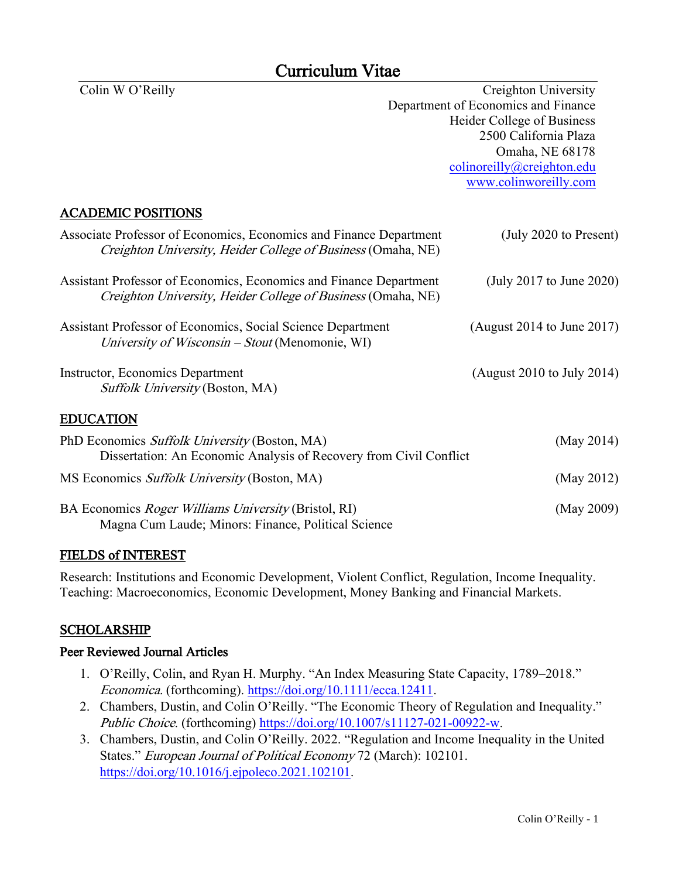# Curriculum Vitae

Colin W O'Reilly Creighton University Department of Economics and Finance Heider College of Business 2500 California Plaza Omaha, NE 68178 colinoreilly@creighton.edu [www.colinworeilly.com](http://www.colinworeilly.com/) ACADEMIC POSITIONS Associate Professor of Economics, Economics and Finance Department (July 2020 to Present) Creighton University, Heider College of Business (Omaha, NE) Assistant Professor of Economics, Economics and Finance Department (July 2017 to June 2020) Creighton University, Heider College of Business (Omaha, NE) Assistant Professor of Economics, Social Science Department (August 2014 to June 2017) University of Wisconsin – Stout (Menomonie, WI) Instructor, Economics Department (August 2010 to July 2014) Suffolk University (Boston, MA) EDUCATION PhD Economics *Suffolk University* (Boston, MA) (May 2014) Dissertation: An Economic Analysis of Recovery from Civil Conflict MS Economics *Suffolk University* (Boston, MA) (May 2012) BA Economics *Roger Williams University* (Bristol, RI) (May 2009) Magna Cum Laude; Minors: Finance, Political Science

# FIELDS of INTEREST

Research: Institutions and Economic Development, Violent Conflict, Regulation, Income Inequality. Teaching: Macroeconomics, Economic Development, Money Banking and Financial Markets.

# SCHOLARSHIP

# Peer Reviewed Journal Articles

- 1. O'Reilly, Colin, and Ryan H. Murphy. "An Index Measuring State Capacity, 1789–2018." Economica. (forthcoming). [https://doi.org/10.1111/ecca.12411.](https://doi.org/10.1111/ecca.12411)
- 2. Chambers, Dustin, and Colin O'Reilly. "The Economic Theory of Regulation and Inequality." Public Choice. (forthcoming) [https://doi.org/10.1007/s11127-021-00922-w.](https://doi.org/10.1007/s11127-021-00922-w)
- 3. Chambers, Dustin, and Colin O'Reilly. 2022. "Regulation and Income Inequality in the United States." European Journal of Political Economy 72 (March): 102101. [https://doi.org/10.1016/j.ejpoleco.2021.102101.](https://doi.org/10.1016/j.ejpoleco.2021.102101)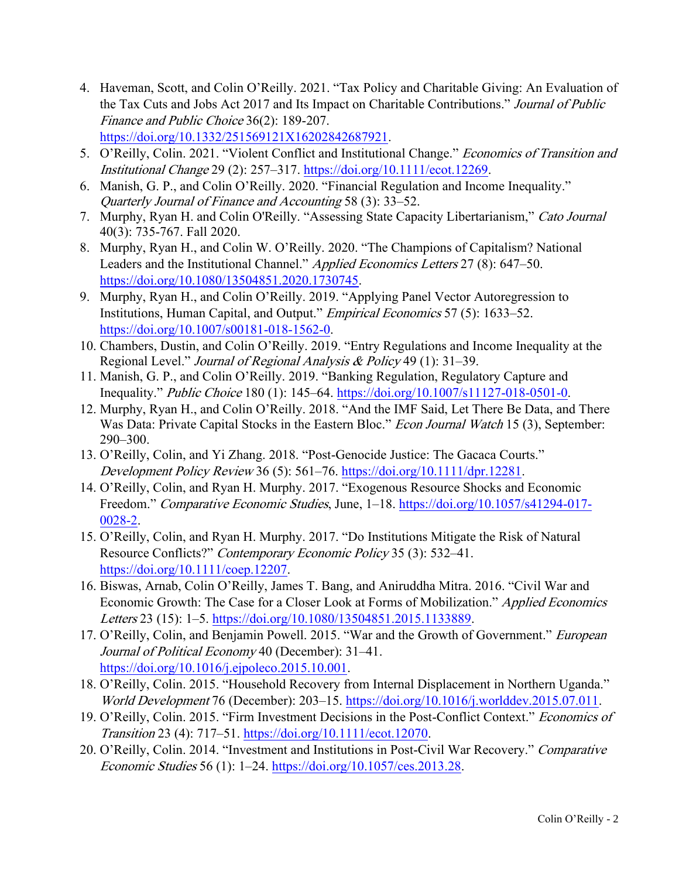- 4. Haveman, Scott, and Colin O'Reilly. 2021. "Tax Policy and Charitable Giving: An Evaluation of the Tax Cuts and Jobs Act 2017 and Its Impact on Charitable Contributions." Journal of Public Finance and Public Choice 36(2): 189-207. [https://doi.org/10.1332/251569121X16202842687921.](https://doi.org/10.1332/251569121X16202842687921)
- 5. O'Reilly, Colin. 2021. "Violent Conflict and Institutional Change." Economics of Transition and Institutional Change 29 (2): 257–317. [https://doi.org/10.1111/ecot.12269.](https://doi.org/10.1111/ecot.12269)
- 6. Manish, G. P., and Colin O'Reilly. 2020. "Financial Regulation and Income Inequality." Quarterly Journal of Finance and Accounting 58 (3): 33–52.
- 7. Murphy, Ryan H. and Colin O'Reilly. "Assessing State Capacity Libertarianism," Cato Journal 40(3): 735-767. Fall 2020.
- 8. Murphy, Ryan H., and Colin W. O'Reilly. 2020. "The Champions of Capitalism? National Leaders and the Institutional Channel." Applied Economics Letters 27 (8): 647–50. [https://doi.org/10.1080/13504851.2020.1730745.](https://doi.org/10.1080/13504851.2020.1730745)
- 9. Murphy, Ryan H., and Colin O'Reilly. 2019. "Applying Panel Vector Autoregression to Institutions, Human Capital, and Output." Empirical Economics 57 (5): 1633–52. [https://doi.org/10.1007/s00181-018-1562-0.](https://doi.org/10.1007/s00181-018-1562-0)
- 10. Chambers, Dustin, and Colin O'Reilly. 2019. "Entry Regulations and Income Inequality at the Regional Level." *Journal of Regional Analysis & Policy* 49 (1): 31–39.
- 11. Manish, G. P., and Colin O'Reilly. 2019. "Banking Regulation, Regulatory Capture and Inequality." Public Choice 180 (1): 145–64. [https://doi.org/10.1007/s11127-018-0501-0.](https://doi.org/10.1007/s11127-018-0501-0)
- 12. Murphy, Ryan H., and Colin O'Reilly. 2018. "And the IMF Said, Let There Be Data, and There Was Data: Private Capital Stocks in the Eastern Bloc." *Econ Journal Watch* 15 (3), September: 290–300.
- 13. O'Reilly, Colin, and Yi Zhang. 2018. "Post-Genocide Justice: The Gacaca Courts." Development Policy Review 36 (5): 561–76. [https://doi.org/10.1111/dpr.12281.](https://doi.org/10.1111/dpr.12281)
- 14. O'Reilly, Colin, and Ryan H. Murphy. 2017. "Exogenous Resource Shocks and Economic Freedom." Comparative Economic Studies, June, 1–18. [https://doi.org/10.1057/s41294-017-](https://doi.org/10.1057/s41294-017-0028-2) [0028-2.](https://doi.org/10.1057/s41294-017-0028-2)
- 15. O'Reilly, Colin, and Ryan H. Murphy. 2017. "Do Institutions Mitigate the Risk of Natural Resource Conflicts?" Contemporary Economic Policy 35 (3): 532–41. [https://doi.org/10.1111/coep.12207.](https://doi.org/10.1111/coep.12207)
- 16. Biswas, Arnab, Colin O'Reilly, James T. Bang, and Aniruddha Mitra. 2016. "Civil War and Economic Growth: The Case for a Closer Look at Forms of Mobilization." Applied Economics Letters 23 (15): 1–5. [https://doi.org/10.1080/13504851.2015.1133889.](https://doi.org/10.1080/13504851.2015.1133889)
- 17. O'Reilly, Colin, and Benjamin Powell. 2015. "War and the Growth of Government." European Journal of Political Economy 40 (December): 31–41. [https://doi.org/10.1016/j.ejpoleco.2015.10.001.](https://doi.org/10.1016/j.ejpoleco.2015.10.001)
- 18. O'Reilly, Colin. 2015. "Household Recovery from Internal Displacement in Northern Uganda." World Development 76 (December): 203–15. [https://doi.org/10.1016/j.worlddev.2015.07.011.](https://doi.org/10.1016/j.worlddev.2015.07.011)
- 19. O'Reilly, Colin. 2015. "Firm Investment Decisions in the Post-Conflict Context." Economics of Transition 23 (4): 717–51. [https://doi.org/10.1111/ecot.12070.](https://doi.org/10.1111/ecot.12070)
- 20. O'Reilly, Colin. 2014. "Investment and Institutions in Post-Civil War Recovery." Comparative Economic Studies 56 (1): 1–24. [https://doi.org/10.1057/ces.2013.28.](https://doi.org/10.1057/ces.2013.28)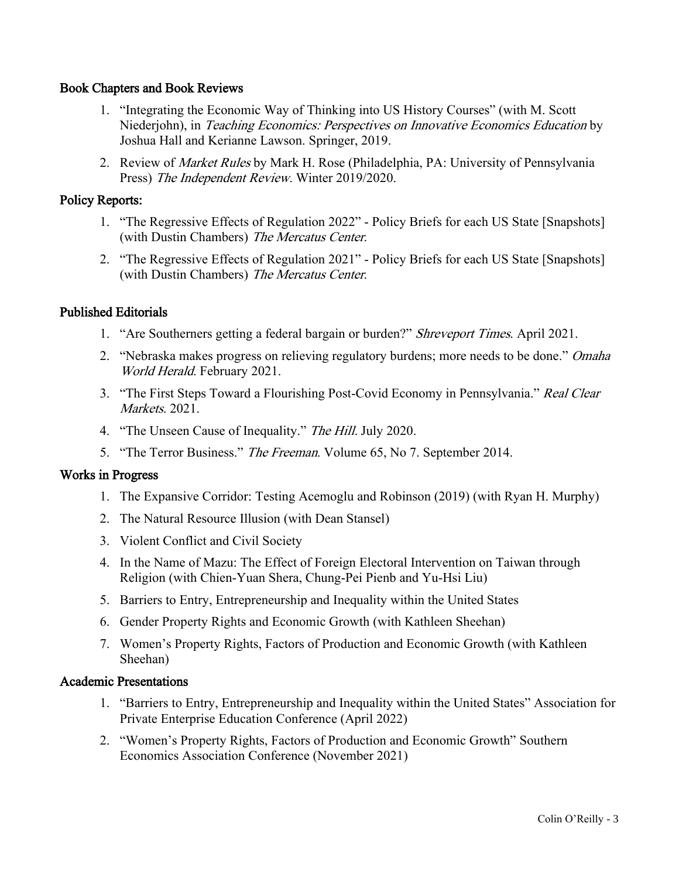## Book Chapters and Book Reviews

- 1. "Integrating the Economic Way of Thinking into US History Courses" (with M. Scott Niederjohn), in Teaching Economics: Perspectives on Innovative Economics Education by Joshua Hall and Kerianne Lawson. Springer, 2019.
- 2. Review of *Market Rules* by Mark H. Rose (Philadelphia, PA: University of Pennsylvania Press) The Independent Review. Winter 2019/2020.

## Policy Reports:

- 1. "The Regressive Effects of Regulation 2022" Policy Briefs for each US State [Snapshots] (with Dustin Chambers) The Mercatus Center.
- 2. "The Regressive Effects of Regulation 2021" Policy Briefs for each US State [Snapshots] (with Dustin Chambers) The Mercatus Center.

## Published Editorials

- 1. "Are Southerners getting a federal bargain or burden?" Shreveport Times. April 2021.
- 2. "Nebraska makes progress on relieving regulatory burdens; more needs to be done." *Omaha* World Herald. February 2021.
- 3. "The First Steps Toward a Flourishing Post-Covid Economy in Pennsylvania." Real Clear Markets. 2021.
- 4. "The Unseen Cause of Inequality." The Hill. July 2020.
- 5. "The Terror Business." The Freeman. Volume 65, No 7. September 2014.

## Works in Progress

- 1. The Expansive Corridor: Testing Acemoglu and Robinson (2019) (with Ryan H. Murphy)
- 2. The Natural Resource Illusion (with Dean Stansel)
- 3. Violent Conflict and Civil Society
- 4. In the Name of Mazu: The Effect of Foreign Electoral Intervention on Taiwan through Religion (with Chien-Yuan Shera, Chung-Pei Pienb and Yu-Hsi Liu)
- 5. Barriers to Entry, Entrepreneurship and Inequality within the United States
- 6. Gender Property Rights and Economic Growth (with Kathleen Sheehan)
- 7. Women's Property Rights, Factors of Production and Economic Growth (with Kathleen Sheehan)

## Academic Presentations

- 1. "Barriers to Entry, Entrepreneurship and Inequality within the United States" Association for Private Enterprise Education Conference (April 2022)
- 2. "Women's Property Rights, Factors of Production and Economic Growth" Southern Economics Association Conference (November 2021)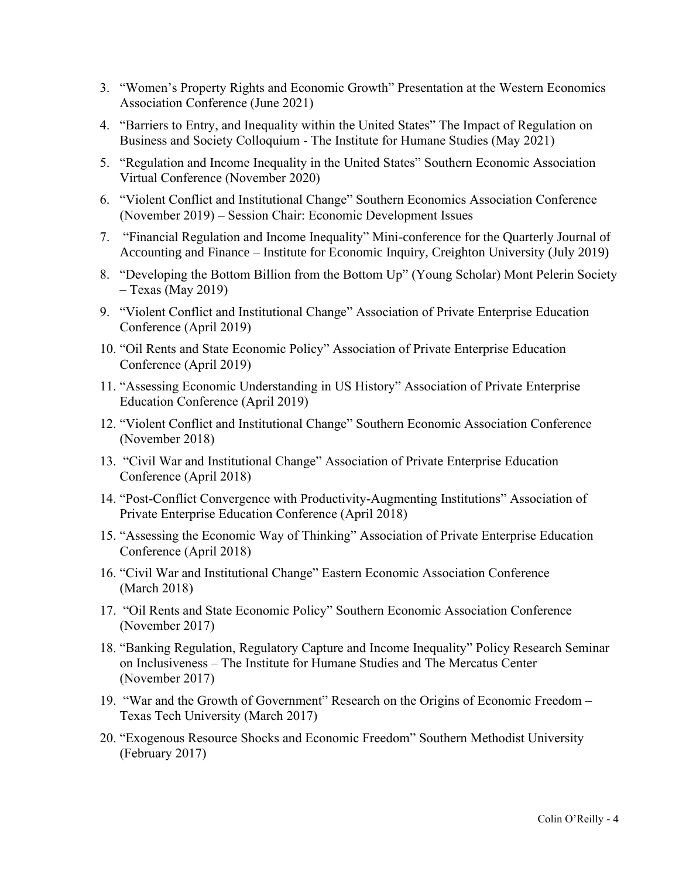- 3. "Women's Property Rights and Economic Growth" Presentation at the Western Economics Association Conference (June 2021)
- 4. "Barriers to Entry, and Inequality within the United States" The Impact of Regulation on Business and Society Colloquium - The Institute for Humane Studies (May 2021)
- 5. "Regulation and Income Inequality in the United States" Southern Economic Association Virtual Conference (November 2020)
- 6. "Violent Conflict and Institutional Change" Southern Economics Association Conference (November 2019) – Session Chair: Economic Development Issues
- 7. "Financial Regulation and Income Inequality" Mini-conference for the Quarterly Journal of Accounting and Finance – Institute for Economic Inquiry, Creighton University (July 2019)
- 8. "Developing the Bottom Billion from the Bottom Up" (Young Scholar) Mont Pelerin Society  $-$  Texas (May 2019)
- 9. "Violent Conflict and Institutional Change" Association of Private Enterprise Education Conference (April 2019)
- 10. "Oil Rents and State Economic Policy" Association of Private Enterprise Education Conference (April 2019)
- 11. "Assessing Economic Understanding in US History" Association of Private Enterprise Education Conference (April 2019)
- 12. "Violent Conflict and Institutional Change" Southern Economic Association Conference (November 2018)
- 13. "Civil War and Institutional Change" Association of Private Enterprise Education Conference (April 2018)
- 14. "Post-Conflict Convergence with Productivity-Augmenting Institutions" Association of Private Enterprise Education Conference (April 2018)
- 15. "Assessing the Economic Way of Thinking" Association of Private Enterprise Education Conference (April 2018)
- 16. "Civil War and Institutional Change" Eastern Economic Association Conference (March 2018)
- 17. "Oil Rents and State Economic Policy" Southern Economic Association Conference (November 2017)
- 18. "Banking Regulation, Regulatory Capture and Income Inequality" Policy Research Seminar on Inclusiveness – The Institute for Humane Studies and The Mercatus Center (November 2017)
- 19. "War and the Growth of Government" Research on the Origins of Economic Freedom Texas Tech University (March 2017)
- 20. "Exogenous Resource Shocks and Economic Freedom" Southern Methodist University (February 2017)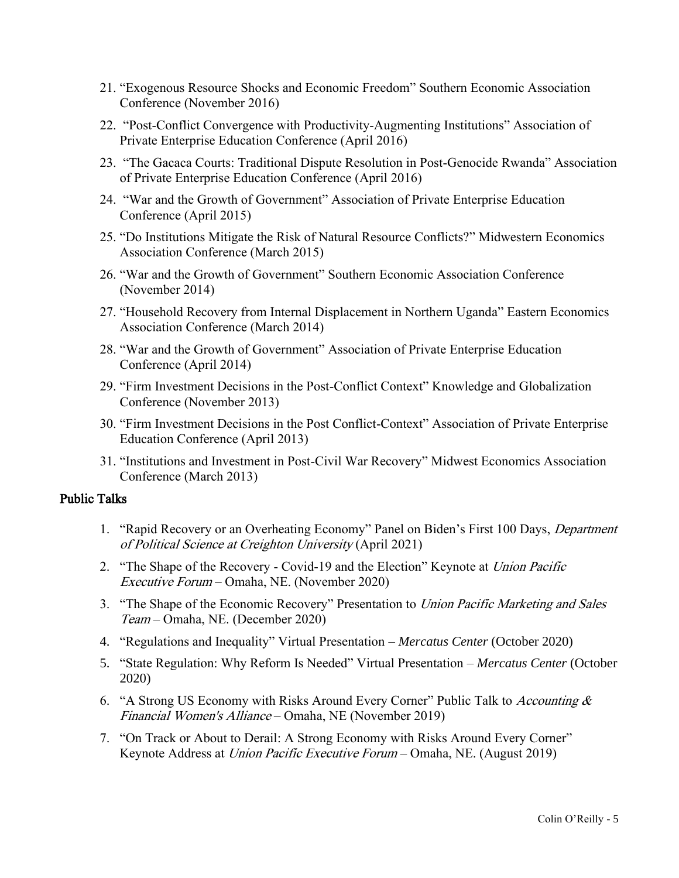- 21. "Exogenous Resource Shocks and Economic Freedom" Southern Economic Association Conference (November 2016)
- 22. "Post-Conflict Convergence with Productivity-Augmenting Institutions" Association of Private Enterprise Education Conference (April 2016)
- 23. "The Gacaca Courts: Traditional Dispute Resolution in Post-Genocide Rwanda" Association of Private Enterprise Education Conference (April 2016)
- 24. "War and the Growth of Government" Association of Private Enterprise Education Conference (April 2015)
- 25. "Do Institutions Mitigate the Risk of Natural Resource Conflicts?" Midwestern Economics Association Conference (March 2015)
- 26. "War and the Growth of Government" Southern Economic Association Conference (November 2014)
- 27. "Household Recovery from Internal Displacement in Northern Uganda" Eastern Economics Association Conference (March 2014)
- 28. "War and the Growth of Government" Association of Private Enterprise Education Conference (April 2014)
- 29. "Firm Investment Decisions in the Post-Conflict Context" Knowledge and Globalization Conference (November 2013)
- 30. "Firm Investment Decisions in the Post Conflict-Context" Association of Private Enterprise Education Conference (April 2013)
- 31. "Institutions and Investment in Post-Civil War Recovery" Midwest Economics Association Conference (March 2013)

## Public Talks

- 1. "Rapid Recovery or an Overheating Economy" Panel on Biden's First 100 Days, Department of Political Science at Creighton University (April 2021)
- 2. "The Shape of the Recovery Covid-19 and the Election" Keynote at *Union Pacific* Executive Forum – Omaha, NE. (November 2020)
- 3. "The Shape of the Economic Recovery" Presentation to *Union Pacific Marketing and Sales* Team – Omaha, NE. (December 2020)
- 4. "Regulations and Inequality" Virtual Presentation *Mercatus Center* (October 2020)
- 5. "State Regulation: Why Reform Is Needed" Virtual Presentation *Mercatus Center* (October 2020)
- 6. "A Strong US Economy with Risks Around Every Corner" Public Talk to Accounting  $\&$ Financial Women's Alliance – Omaha, NE (November 2019)
- 7. "On Track or About to Derail: A Strong Economy with Risks Around Every Corner" Keynote Address at Union Pacific Executive Forum – Omaha, NE. (August 2019)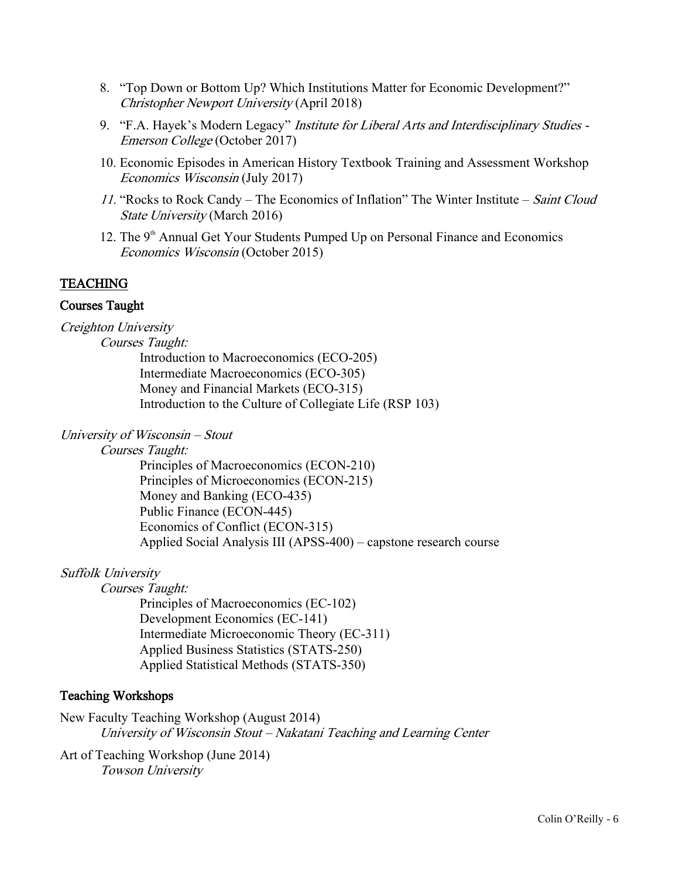- 8. "Top Down or Bottom Up? Which Institutions Matter for Economic Development?" Christopher Newport University (April 2018)
- 9. "F.A. Hayek's Modern Legacy" Institute for Liberal Arts and Interdisciplinary Studies -Emerson College (October 2017)
- 10. Economic Episodes in American History Textbook Training and Assessment Workshop Economics Wisconsin (July 2017)
- 11. "Rocks to Rock Candy The Economics of Inflation" The Winter Institute Saint Cloud State University (March 2016)
- 12. The  $9<sup>th</sup>$  Annual Get Your Students Pumped Up on Personal Finance and Economics Economics Wisconsin (October 2015)

## TEACHING

#### Courses Taught

Creighton University

Courses Taught:

Introduction to Macroeconomics (ECO-205) Intermediate Macroeconomics (ECO-305) Money and Financial Markets (ECO-315) Introduction to the Culture of Collegiate Life (RSP 103)

#### University of Wisconsin – Stout

Courses Taught:

Principles of Macroeconomics (ECON-210) Principles of Microeconomics (ECON-215) Money and Banking (ECO-435) Public Finance (ECON-445) Economics of Conflict (ECON-315) Applied Social Analysis III (APSS-400) – capstone research course

## Suffolk University

Courses Taught:

Principles of Macroeconomics (EC-102) Development Economics (EC-141) Intermediate Microeconomic Theory (EC-311) Applied Business Statistics (STATS-250) Applied Statistical Methods (STATS-350)

## Teaching Workshops

New Faculty Teaching Workshop (August 2014) University of Wisconsin Stout – Nakatani Teaching and Learning Center

Art of Teaching Workshop (June 2014) Towson University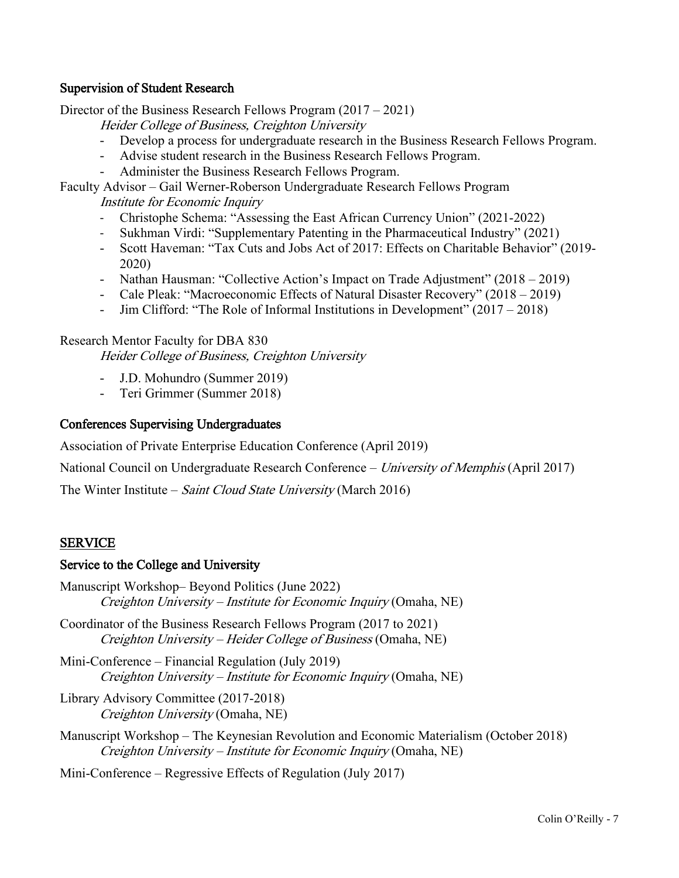## Supervision of Student Research

Director of the Business Research Fellows Program (2017 – 2021)

Heider College of Business, Creighton University

- Develop a process for undergraduate research in the Business Research Fellows Program.
- Advise student research in the Business Research Fellows Program.
- Administer the Business Research Fellows Program.

Faculty Advisor – Gail Werner-Roberson Undergraduate Research Fellows Program

Institute for Economic Inquiry

- Christophe Schema: "Assessing the East African Currency Union" (2021-2022)
- Sukhman Virdi: "Supplementary Patenting in the Pharmaceutical Industry" (2021)
- Scott Haveman: "Tax Cuts and Jobs Act of 2017: Effects on Charitable Behavior" (2019- 2020)
- Nathan Hausman: "Collective Action's Impact on Trade Adjustment" (2018 2019)
- Cale Pleak: "Macroeconomic Effects of Natural Disaster Recovery" (2018 2019)
- Jim Clifford: "The Role of Informal Institutions in Development" (2017 2018)

## Research Mentor Faculty for DBA 830

Heider College of Business, Creighton University

- J.D. Mohundro (Summer 2019)
- Teri Grimmer (Summer 2018)

## Conferences Supervising Undergraduates

Association of Private Enterprise Education Conference (April 2019)

National Council on Undergraduate Research Conference – University of Memphis (April 2017)

The Winter Institute – Saint Cloud State University (March 2016)

# SERVICE

## Service to the College and University

- Manuscript Workshop– Beyond Politics (June 2022) Creighton University – Institute for Economic Inquiry (Omaha, NE)
- Coordinator of the Business Research Fellows Program (2017 to 2021) Creighton University – Heider College of Business (Omaha, NE)
- Mini-Conference Financial Regulation (July 2019) Creighton University – Institute for Economic Inquiry (Omaha, NE)
- Library Advisory Committee (2017-2018) Creighton University (Omaha, NE)
- Manuscript Workshop The Keynesian Revolution and Economic Materialism (October 2018) Creighton University – Institute for Economic Inquiry (Omaha, NE)

Mini-Conference – Regressive Effects of Regulation (July 2017)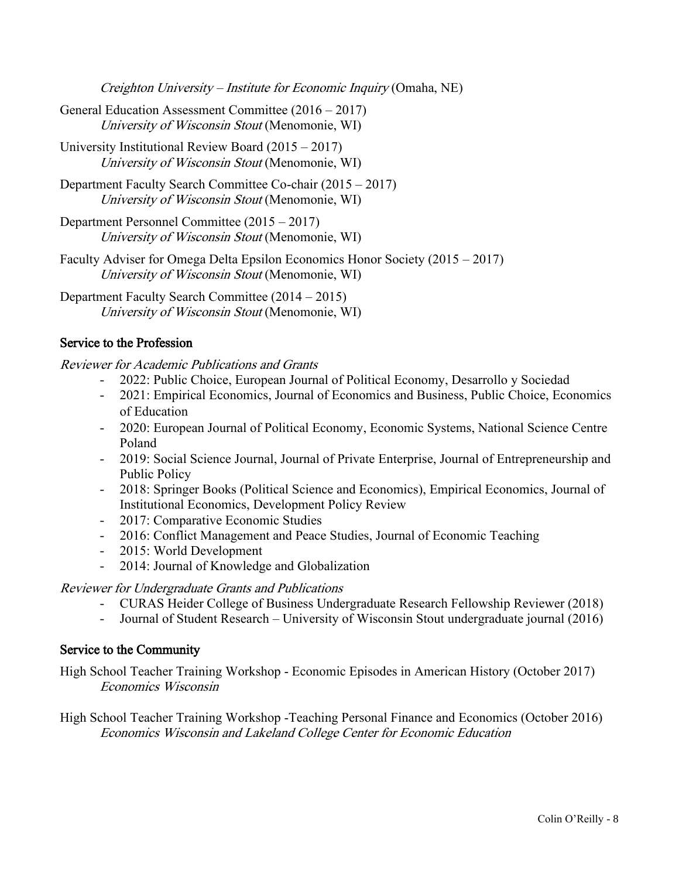Creighton University – Institute for Economic Inquiry (Omaha, NE)

- General Education Assessment Committee (2016 2017) University of Wisconsin Stout (Menomonie, WI)
- University Institutional Review Board (2015 2017) University of Wisconsin Stout (Menomonie, WI)
- Department Faculty Search Committee Co-chair (2015 2017) University of Wisconsin Stout (Menomonie, WI)
- Department Personnel Committee (2015 2017) University of Wisconsin Stout (Menomonie, WI)
- Faculty Adviser for Omega Delta Epsilon Economics Honor Society (2015 2017) University of Wisconsin Stout (Menomonie, WI)

Department Faculty Search Committee (2014 – 2015) University of Wisconsin Stout (Menomonie, WI)

# Service to the Profession

Reviewer for Academic Publications and Grants

- 2022: Public Choice, European Journal of Political Economy, Desarrollo y Sociedad
- 2021: Empirical Economics, Journal of Economics and Business, Public Choice, Economics of Education
- 2020: European Journal of Political Economy, Economic Systems, National Science Centre Poland
- 2019: Social Science Journal, Journal of Private Enterprise, Journal of Entrepreneurship and Public Policy
- 2018: Springer Books (Political Science and Economics), Empirical Economics, Journal of Institutional Economics, Development Policy Review
- 2017: Comparative Economic Studies
- 2016: Conflict Management and Peace Studies, Journal of Economic Teaching
- 2015: World Development
- 2014: Journal of Knowledge and Globalization

# Reviewer for Undergraduate Grants and Publications

- CURAS Heider College of Business Undergraduate Research Fellowship Reviewer (2018)
- Journal of Student Research University of Wisconsin Stout undergraduate journal (2016)

## Service to the Community

High School Teacher Training Workshop - Economic Episodes in American History (October 2017) Economics Wisconsin

High School Teacher Training Workshop -Teaching Personal Finance and Economics (October 2016) Economics Wisconsin and Lakeland College Center for Economic Education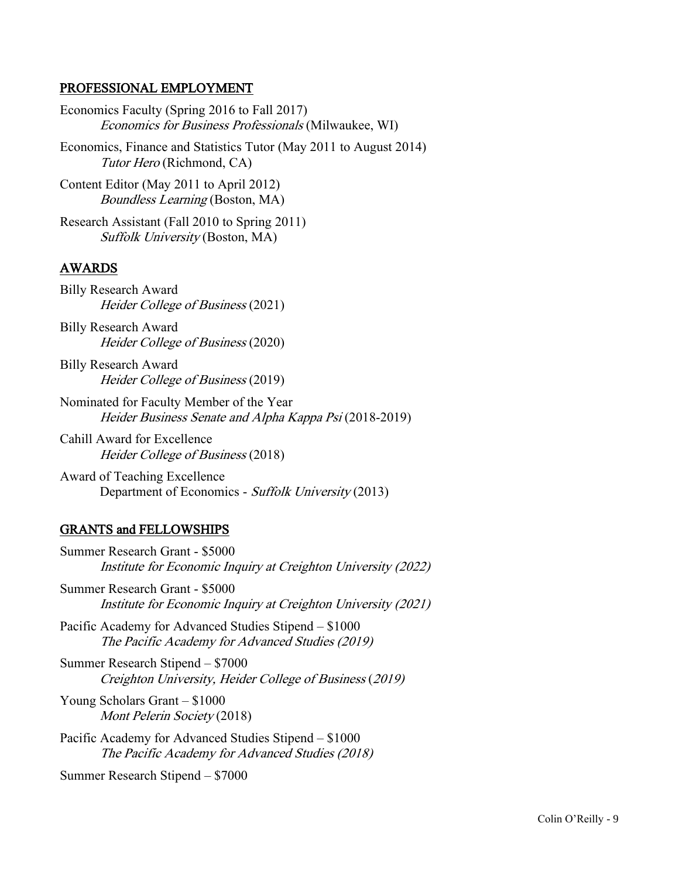## PROFESSIONAL EMPLOYMENT

Economics Faculty (Spring 2016 to Fall 2017) Economics for Business Professionals (Milwaukee, WI)

Economics, Finance and Statistics Tutor (May 2011 to August 2014) Tutor Hero (Richmond, CA)

Content Editor (May 2011 to April 2012) Boundless Learning (Boston, MA)

Research Assistant (Fall 2010 to Spring 2011) Suffolk University (Boston, MA)

# AWARDS

Billy Research Award Heider College of Business (2021)

Billy Research Award Heider College of Business (2020)

Billy Research Award Heider College of Business (2019)

Nominated for Faculty Member of the Year Heider Business Senate and Alpha Kappa Psi (2018-2019)

Cahill Award for Excellence Heider College of Business (2018)

Award of Teaching Excellence Department of Economics - Suffolk University (2013)

# GRANTS and FELLOWSHIPS

Summer Research Grant - \$5000 Institute for Economic Inquiry at Creighton University (2022)

Summer Research Grant - \$5000 Institute for Economic Inquiry at Creighton University (2021)

Pacific Academy for Advanced Studies Stipend – \$1000 The Pacific Academy for Advanced Studies (2019)

Summer Research Stipend – \$7000 Creighton University, Heider College of Business (2019)

Young Scholars Grant – \$1000 Mont Pelerin Society (2018)

Pacific Academy for Advanced Studies Stipend – \$1000 The Pacific Academy for Advanced Studies (2018)

Summer Research Stipend – \$7000